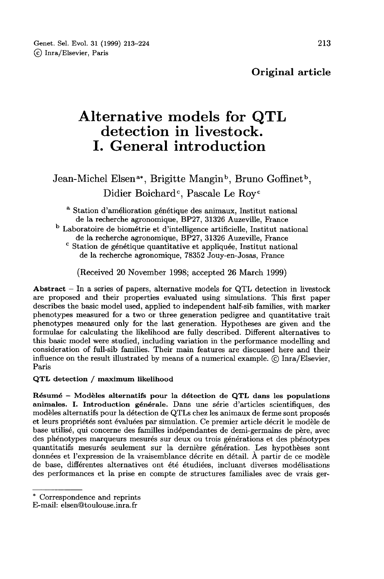# Alternative models for QTL detection in livestock. I. General introduction

Jean-Michel Elsen<sup>a\*</sup>, Brigitte Mangin<sup>b</sup>, Bruno Goffinet<sup>b</sup>, Didier Boichard<sup>c</sup>, Pascale Le Roy<sup>c</sup>

<sup>a</sup> Station d'amélioration génétique des animaux, Institut national de la recherche agronomique, BP27, 31326 Auzeville, France

<sup>b</sup> Laboratoire de biométrie et d'intelligence artificielle, Institut national de la recherche agronomique, BP27, 31326 Auzeville, France

<sup>c</sup> Station de génétique quantitative et appliquée, Institut national de la recherche agronomique, 78352 Jouy-en-Josas, France

(Received 20 November 1998; accepted 26 March 1999)

Abstract  $-$  In a series of papers, alternative models for QTL detection in livestock are proposed and their properties evaluated using simulations. This first paper describes the basic model used, applied to independent half-sib families, with marker phenotypes measured for a two or three generation pedigree and quantitative trait phenotypes measured only for the last generation. Hypotheses are given and the formulae for calculating the likelihood are fully described. Different alternatives to this basic model were studied, including variation in the performance modelling and consideration of full-sib families. Their main features are discussed here and their influence on the result illustrated by means of a numerical example. © Inra/Elsevier, Paris

QTL detection / maximum likelihood

Résumé - Modèles alternatifs pour la détection de QTL dans les populations animales. I. Introduction générale. Dans une série d'articles scientifiques, des et leurs propriétés sont évaluées par simulation. Ce premier article décrit le modèle de base utilisé, qui concerne des familles indépendantes de demi-germains de père, avec des phénotypes marqueurs mesurés sur deux ou trois générations et des phénotypes quantitatifs mesurés seulement sur la dernière génération. Les hypothèses sont données et l'expression de la vraisemblance décrite en détail. À partir de ce modèle de base, différentes alternatives ont été étudiées, incluant diverses modélisations des performances et la prise en compte de structures familiales avec de vrais ger-

<sup>\*</sup> Correspondence and reprints

E-mail: elsen@toulouse.inra.fr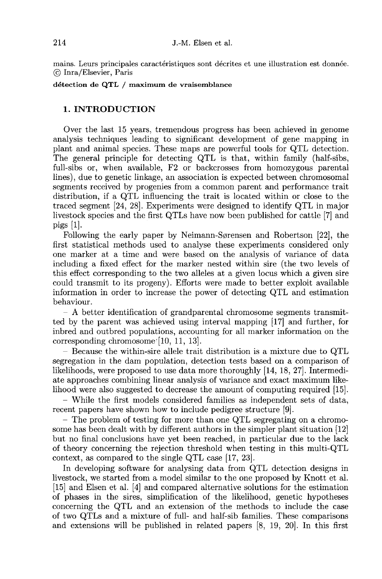mains. Leurs principales caractéristiques sont décrites et une illustration est donnée. © Inra/Elsevier, Paris

détection de QTL / maximum de vraisemblance

# 1. INTRODUCTION

Over the last 15 years, tremendous progress has been achieved in genome analysis techniques leading to significant development of gene mapping in plant and animal species. These maps are powerful tools for QTL detection. The general principle for detecting QTL is that, within family (half-sibs, full-sibs or, when available, F2 or backcrosses from homozygous parental lines), due to genetic linkage, an association is expected between chromosomal segments received by progenies from a common parent and performance trait distribution, if a QTL influencing the trait is located within or close to the traced segment [24, 28]. Experiments were designed to identify QTL in major livestock species and the first QTLs have now been published for cattle [7] and pigs [1].

Following the early paper by Neimann-Sorensen and Robertson [22], the first statistical methods used to analyse these experiments considered only one marker at a time and were based on the analysis of variance of data including a fixed effect for the marker nested within sire (the two levels of this effect corresponding to the two alleles at a given locus which a given sire could transmit to its progeny). Efforts were made to better exploit available information in order to increase the power of detecting QTL and estimation behaviour.

- A better identification of grandparental chromosome segments transmitted by the parent was achieved using interval mapping [17] and further, for inbred and outbred populations, accounting for all marker information on the corresponding chromosome [10, 11, 13].

 $-$  Because the within-sire allele trait distribution is a mixture due to QTL segregation in the dam population, detection tests based on a comparison of likelihoods, were proposed to use data more thoroughly [14, 18, 27]. Intermediate approaches combining linear analysis of variance and exact maximum like-

– While the first models considered families as independent sets of data, recent papers have shown how to include pedigree structure [9].

- The problem of testing for more than one QTL segregating on a chromosome has been dealt with by different authors in the simpler plant situation [12] but no final conclusions have yet been reached, in particular due to the lack of theory concerning the rejection threshold when testing in this multi-QTL context, as compared to the single QTL case [17, 23!.

In developing software for analysing data from QTL detection designs in livestock, we started from a model similar to the one proposed by Knott et al. [15] and Elsen et al. [4] and compared alternative solutions for the estimation of phases in the sires, simplification of the likelihood, genetic hypotheses concerning the QTL and an extension of the methods to include the case of two QTLs and a mixture of full- and half-sib families. These comparisons and extensions will be published in related papers [8, 19, 20]. In this first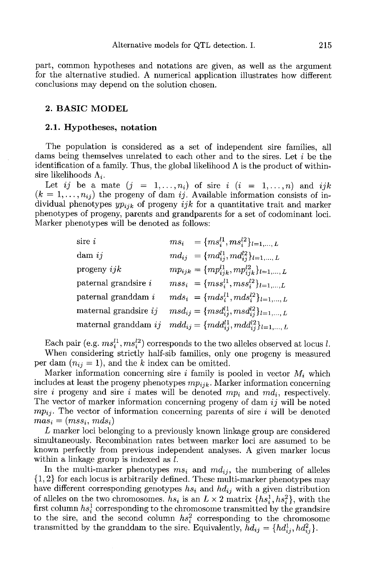part, common hypotheses and notations are given, as well as the argument for the alternative studied. A numerical application illustrates how different conclusions may depend on the solution chosen.

#### 2. BASIC MODEL

#### 2.1. Hypotheses, notation

The population is considered as a set of independent sire families, all dams being themselves unrelated to each other and to the sires. Let i be the identification of a family. Thus, the global likelihood  $\Lambda$  is the product of withinsire likelihoods  $\Lambda_i$ .

Let ij be a mate  $(j = 1, ..., n_i)$  of sire i  $(i = 1, ..., n)$  and ijk  $(k = 1, ..., n_{ij})$  the progeny of dam ij. Available information consists of individual phenotypes  $yp_{ijk}$  of progeny  $ijk$  for a quantitative trait and marker phenotypes of progeny, parents and grandparents for a set of codominant loci. Marker phenotypes will be denoted as follows:

| sire $\it i$                            | $ms_i = \{ms_i^{l1},ms_i^{l2}\}_{l=1,,L}$                 |
|-----------------------------------------|-----------------------------------------------------------|
| $\text{dam } ij$                        | $md_{ij} = \{md_{ij}^{l1}, md_{ij}^{l2}\}_{l=1,\ldots,L}$ |
| progeny $ijk$                           | $mp_{ijk} = \{mp_{ijk}^{l1}, mp_{ijk}^{l2}\}_{l=1,,L}$    |
| paternal grand<br>sire $\boldsymbol{i}$ | $mss_i = \{mss_i^{l1}, mss_i^{l2}\}_{l=1,,L}$             |
| paternal granddam $\boldsymbol{i}$      | $mds_i = \{mds_i^{l1},mds_i^{l2}\}_{l=1,,L}$              |
| maternal grandsire $ij$                 | $msd_{ij} = \{msd_{ij}^{l1},msd_{ij}^{l2}\}_{l=1,,L}$     |
| maternal granddam $ij$                  | $mdd_{ij} = \{mdd_{ij}^{l1}, mdd_{ij}^{l2}\}_{l=1,,L}$    |

Each pair (e.g.  $ms_i^{l1}, ms_i^{l2})$  corresponds to the two alleles observed at locus l. When considering strictly half-sib families, only one progeny is measured per dam  $(n_{ij} = 1)$ , and the k index can be omitted.

Marker information concerning sire i family is pooled in vector  $M_i$  which per dam  $(n_{ij} = 1)$ , and the k index can be omitted.<br>
Marker information concerning sire *i* family is pooled in vector  $M_i$  which<br>
includes at least the progeny phenotypes  $mp_{ijk}$ . Marker information concerning<br>
sire *i* p The vector of marker information concerning progeny of dam  $ij$  will be noted sire *i* progeny and sire *i* mates will be denoted  $mp_i$  and  $md_i$ , respectively.<br>The vector of marker information concerning progeny of dam *ij* will be noted<br> $mp_{ij}$ . The vector of information concerning parents of sire

L marker loci belonging to a previously known linkage group are considered simultaneously. Recombination rates between marker loci are assumed to be known perfectly from previous independent analyses. A given marker locus within a linkage group is indexed as l.

In the multi-marker phenotypes  $ms_i$  and  $md_{ij}$ , the numbering of alleles {1, 2} for each locus is arbitrarily defined. These multi-marker phenotypes may have different corresponding genotypes  $hs_i$  and  $h d_{ij}$  with a given distribution of alleles on the two chromosomes.  $hs_i$  is an  $L \times 2$  matrix  $\{hs_i^1, hs_i^2\}$ , with the first column  $hs_i^1$  corresponding to the chromosome transmitted by the grandsire to the sire, and the second column  $hs_i^2$  corresponding to the chromosome transmitted by the granddam to the sire. Equivalently,  $h d_{ij} = \{h d_{ij}^1, h d_{ij}^2\}.$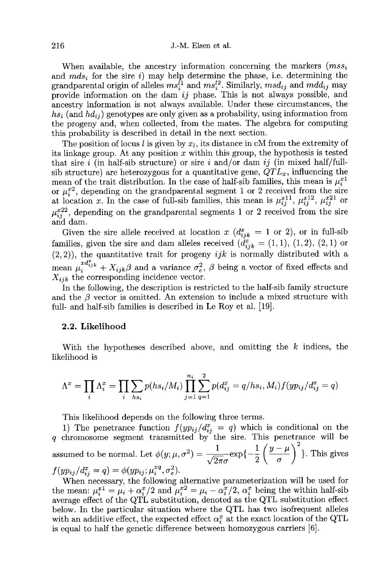216 J.-M. Elsen et al.<br>When available, the ancestry information concerning the markers  $(mss_i)$ and  $mds_i$  for the sire i) may help determine the phase, i.e. determining the grandparental origin of alleles  $ms_i^{l_1}$  and  $ms_i^{l_2}$ . Similarly,  $msd_{ij}$  and  $mdd_{ij}$  may provide information on the dam  $ij$  phase. This is not always possible, and ancestry information is not always available. Under these circumstances, the  $hs_i$  (and  $hd_{ij}$ ) genotypes are only given as a probability, using information from the progeny and, when collected, from the mates. The algebra for computing this probability is described in detail in the next section.

The position of locus  $l$  is given by  $x_l$ , its distance in cM from the extremity of its linkage group. At any position  $x$  within this group, the hypothesis is tested that sire i (in half-sib structure) or sire i and/or dam ij (in mixed half/fullsib structure) are heterozygous for a quantitative gene,  $QTL_x$ , influencing the mean of the trait distribution. In the case of half-sib families, this mean is  $\mu_i^{x_1}$ or  $\mu_i^{x_2}$ , depending on the grandparental segment 1 or 2 received from the sire at location x. In the case of full-sib families, this mean is  $\mu_{ij}^{x11}, \mu_{ij}^{x12}, \mu_{ij}^{x21}$  or  $\mu_{ii}^{x22}$ , depending on the grandparental segments 1 or 2 received from the sire and dam.

Given the sire allele received at location x  $(d_{ijk}^x = 1 \text{ or } 2)$ , or in full-sib families, given the sire and dam alleles received  $(d_{ijk}^x = (1,1), (1,2), (2,1)$  or  $(2, 2)$ ), the quantitative trait for progeny *ijk* is normally distributed with a (2, 2)), the quantitative trait for progeny *ijk* is normally distributed with a mean  $\mu_i^{xd_{ijk}^x} + X_{ijk}\beta$  and a variance  $\sigma_e^2$ ,  $\beta$  being a vector of fixed effects and  $X_{ijk}$  the corresponding incidence vector.

In the following, the description is restricted to the half-sib family structure and the  $\beta$  vector is omitted. An extension to include a mixed structure with full- and half-sib families is described in Le Roy et al. [19].

#### 2.2. Likelihood

With the hypotheses described above, and omitting the  $k$  indices, the likelihood is

$$
\Lambda^x = \prod_i \Lambda_i^x = \prod_i \sum_{hs_i} p(hs_i/M_i) \prod_{j=1}^{n_i} \sum_{q=1}^2 p(d_{ij}^x = q/hs_i, M_i) f(yp_{ij}/d_{ij}^x = q)
$$

This likelihood depends on the following three terms.

1) The penetrance function  $f(yp_{ij}/d_{ij}^x = q)$  which is conditional on the q chromosome segment transmitted by the sire. This penetrance will be 1) The penetrance function  $f(yp_{ij}/d_{ij}^x = q)$  which is conditional on the q chromosome segment transmitted by the sire. This penetrance will be assumed to be normal. Let  $\phi(y; \mu, \sigma^2) = \frac{1}{\sqrt{2\pi}\sigma} \exp\{-\frac{1}{2} \left(\frac{y-\mu}{\sigma}\right$  $f(yp_{ij}/d_{ij}^x = q) = \phi(yp_{ij}; \mu_i^{xq}, \sigma_e^2).$ 

When necessary, the following alternative parameterization will be used for the mean:  $\mu_i^{x_1} = \mu_i + \alpha_i^{x_2} = \mu_i - \alpha_i^{x_1} = \alpha_i^{x_2} = \mu_i - \alpha_i^{x_2} = \mu_i$  being the within half-sib average effect of the QTL substitution, denoted as the QTL substitution effect below. In the particular situation where the QTL has two isofrequent alleles with an additive effect, the expected effect  $\alpha_i^x$  at the exact location of the QTL is equal to half the genetic difference between homozygous carriers [6].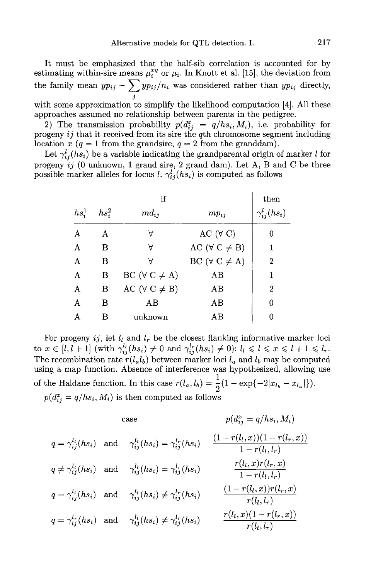It must be emphasized that the half-sib correlation is accounted for by estimating within-sire means  $\mu_i^{xq}$  or  $\mu_i$ . In Knott et al. [15], the deviation from the family mean  $yp_{ij} - \sum yp_{ij}/n_i$  was considered rather than  $yp_{ij}$  directly, J

with some approximation to simplify the likelihood computation  $[4]$ . All these approaches assumed no relationship between parents in the pedigree.

with some approximation to simplify the likelihood computation [4]. All these<br>approaches assumed no relationship between parents in the pedigree.<br>2) The transmission probability  $p(d_{ij}^x = q/hs_i, M_i)$ , i.e. probability for<br>pr location x ( $q = 1$  from the grandsire,  $q = 2$  from the granddam).

Let  $\gamma_{ij}^l(hs_i)$  be a variable indicating the grandparental origin of marker  $l$  for progeny ij (0 unknown, 1 grand sire, 2 grand dam). Let A, B and C be three possible marker alleles for locus  $l$ .  $\gamma_{ij}^{l}(hs_{i})$  is computed as follows

|          | then     |                            |                            |                       |
|----------|----------|----------------------------|----------------------------|-----------------------|
| $hs_i^1$ | $hs_i^2$ | $md_{ij}$                  | $mp_{ii}$                  | $\gamma_{ij}^l(hs_i)$ |
| A        | A        | Α                          | AC $(\forall C)$           | 0                     |
| A        | B        | Α                          | AC ( $\forall$ C $\neq$ B) | 1                     |
| A        | В        | Α                          | BC ( $\forall$ C $\neq$ A) | $\overline{2}$        |
| A        | В        | BC ( $\forall$ C $\neq$ A) | AB                         | 1                     |
| A        | B        | AC ( $\forall$ C $\neq$ B) | AB                         | $\overline{2}$        |
| A        | В        | AB                         | AB                         | 0                     |
| A        | в        | unknown                    | AΒ                         |                       |

A B AB AB  $\theta$  and  $\theta$  and  $\theta$  and  $\theta$  and  $\theta$  and  $\theta$  and  $\theta$  and  $\theta$  and  $\theta$  and  $\theta$  and  $\theta$  and  $\theta$  and  $\theta$  and  $\theta$  and  $\theta$  and  $\theta$  and  $\theta$  and  $\theta$  and  $\theta$  and  $\theta$  and  $\theta$  and  $\theta$  and  $\theta$  and  $\theta$ using a map function. Absence of interference was hypothesized, allowing use using a map function. Absence of interference was hypothesized, allowing<br>of the Haldane function. In this case  $r(l_a, l_b) = \frac{1}{2}(1 - \exp\{-2|x_{l_b} - x_{l_a}|\})$ . the Haldane function. In this case  $r(l_a, l_b) = \frac{1}{2}$ <br> $p(d_{ij}^x = q/hs_i, M_i)$  is then computed as follows

case 
$$
p(d_{ij}^x = q/hs_i, M_i)
$$
  
\n
$$
q = \gamma_{ij}^{l_l}(hs_i)
$$
 and 
$$
\gamma_{ij}^{l_l}(hs_i) = \gamma_{ij}^{l_r}(hs_i)
$$
  
\n
$$
\frac{(1 - r(l_l, x))(1 - r(l_r, x))}{1 - r(l_l, l_r)}
$$
  
\n
$$
q \neq \gamma_{ij}^{l_l}(hs_i)
$$
 and 
$$
\gamma_{ij}^{l_l}(hs_i) = \gamma_{ij}^{l_r}(hs_i)
$$
  
\n
$$
q = \gamma_{ij}^{l_l}(hs_i)
$$
 and 
$$
\gamma_{ij}^{l_l}(hs_i) \neq \gamma_{ij}^{l_r}(hs_i)
$$
  
\n
$$
\frac{r(l_l, x)r(l_r, x)}{1 - r(l_l, l_r)}
$$
  
\n
$$
q = \gamma_{ij}^{l_r}(hs_i)
$$
 and 
$$
\gamma_{ij}^{l_l}(hs_i) \neq \gamma_{ij}^{l_r}(hs_i)
$$
  
\n
$$
\frac{(1 - r(l_l, x))r(l_r, x)}{r(l_l, l_r)}
$$
  
\n
$$
q = \gamma_{ij}^{l_r}(hs_i)
$$
 and 
$$
\gamma_{ij}^{l_l}(hs_i) \neq \gamma_{ij}^{l_r}(hs_i)
$$
  
\n
$$
\frac{r(l_l, x)(1 - r(l_r, x))}{r(l_l, l_r)}
$$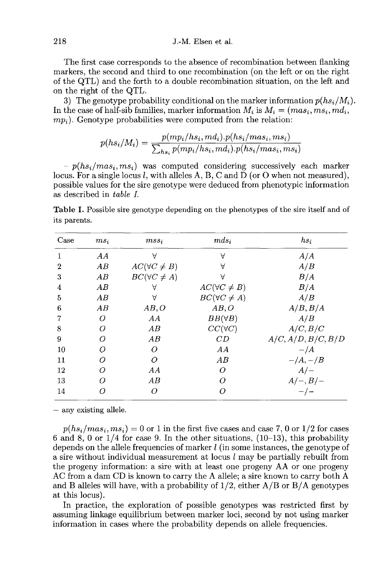The first case corresponds to the absence of recombination between flanking markers, the second and third to one recombination (on the left or on the right of the QTL) and the forth to a double recombination situation, on the left and on the right of the QTL.<br>3) The genotype probability conditional on the marker information  $p(hs_i/M_i)$ . The first case corresponds to the absence of recombination between flanking<br>markers, the second and third to one recombination (on the left or on the right<br>of the QTL) and the forth to a double recombination situation, on

3) The genotype probability conditional on the marker inform<br>In the case of half-sib families, marker information  $M_i$  is  $M_i = (m p_i)$ . Genotype probabilities were computed from the relation:

$$
p(hs_i/M_i) = \frac{p(mp_i/hs_i,md_i).p(hs_i/mas_i,ms_i)}{\sum_{hs_i}p(mp_i/hs_i,md_i).p(hs_i/mas_i,ms_i)}
$$

the right of the QTL.<br>
3) The genotype probability conditional on the marker information  $p(hs_i/M_i)$ <br>
the case of half-sib families, marker information  $M_i$  is  $M_i = (mas_i, ms_i, md_i)$ ,<br>  $p(hs_i/M_i) = \frac{p(mp_i/hs_i, md_i).p(hs_i/mas_i, ms_i)}{\sum_{hs_i} p(mp_i/hs_i$ locus. For a single locus  $l$ , with alleles A, B, C and D (or O when not measured), possible values for the sire genotype were deduced from phenotypic information as described in table L

Table I. Possible sire genotype depending on the phenotypes of the sire itself and of its parents.

| Case | $ms_i$                         | $mss_i$                | $mds_i$                | $hs_i$             |
|------|--------------------------------|------------------------|------------------------|--------------------|
| 1    | AA                             | $\forall$              | Α                      | A/A                |
| 2    | AB                             | $AC(\forall C \neq B)$ | Α                      | A/B                |
| 3    | $\boldsymbol{A}\boldsymbol{B}$ | $BC(\forall C \neq A)$ | Α                      | B/A                |
| 4    | AB                             | Α                      | $AC(\forall C \neq B)$ | B/A                |
| 5    | AB                             | Α                      | $BC(\forall C \neq A)$ | A/B                |
| 6    | AB                             | AB, O                  | AB, O                  | A/B, B/A           |
| 7    | Ω                              | AA                     | $BB(\forall B)$        | A/B                |
| 8    | Ω                              | AB                     | $CC(\forall C)$        | A/C, B/C           |
| 9    | ∩                              | AB                     | CD                     | A/C, A/D, B/C, B/D |
| 10   | Ω                              | Ω                      | AA                     | $-\frac{A}{A}$     |
| 11   | Ω                              | Ω                      | AB                     | $-\frac{A}{B}$     |
| 12   | Ω                              | AA                     | 0                      | $A/-$              |
| 13   | Ω                              | AВ                     | Ω                      | $A/-, B/-$         |
| 14   |                                | Ω                      | Ω                      | $-/-$              |

- any existing allele.<br>  $p(hs_i/mas_i, ms_i) = 0$  or 1 in the first five cases and case 7, 0 or 1/2 for cases 6 and 8, 0 or  $1/4$  for case 9. In the other situations,  $(10-13)$ , this probability depends on the allele frequencies of marker  $l$  (in some instances, the genotype of a sire without individual measurement at locus  $l$  may be partially rebuilt from the progeny information: a sire with at least one progeny AA or one progeny AC from a dam CD is known to carry the A allele; a sire known to carry both A and B alleles will have, with a probability of  $1/2$ , either  $A/B$  or  $B/A$  genotypes at this locus).

In practice, the exploration of possible genotypes was restricted first by assuming linkage equilibrium between marker loci, second by not using marker information in cases where the probability depends on allele frequencies.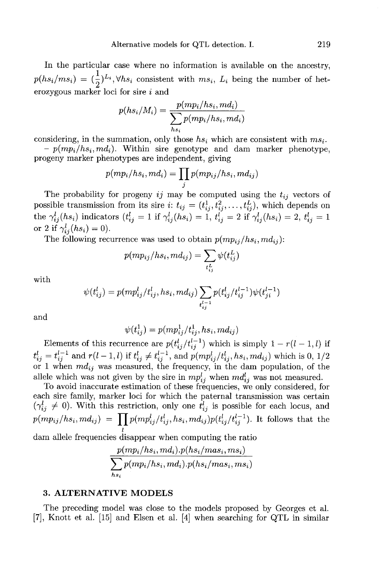In the particular case where no information is available on the ancestry, In the particular case where no information is available on the ancestry,<br> $p(hs_i/ms_i) = (\frac{1}{2})^{L_i}$ ,  $\forall hs_i$  consistent with  $ms_i$ ,  $L_i$  being the number of heterozygous marker loci for sire i and  $p(hs_i/ms_i) = (\frac{1}{2})^{L_i}$ ,  $\forall hs_i$  consistent with  $ms_i$ ,  $L_i$  being the number of het-<br>erozygous marker loci for sire *i* and<br> $p(hs_i/M_i) = \frac{p(mp_i/hs_i, md_i)}{\sum_{hs_i} p(mp_i/hs_i, md_i)}$ <br>considering, in the summation, only those  $hs_i$  which are co

$$
p(hs_i/M_i) = \frac{p(mp_i/hs_i, md_i)}{\sum_{hs_i} p(mp_i/hs_i, md_i)}
$$

progeny marker phenotypes are independent, giving

$$
p(mp_i/hs_i,md_i)=\prod_j p(mp_{ij}/hs_i,md_{ij})
$$

The probability for progeny  $ij$  may be computed using the  $t_{ij}$  vectors of possible transmission from its sire i:  $t_{ij} = (t_{ij}^1, t_{ij}^2, \ldots, t_{ij}^L)$ , which depends on the  $\gamma_{ij}^l(hs_i)$  indicators  $(t_{ij}^l = 1 \text{ if } \gamma_{ij}^l(hs_i) = 1, t_{ij}^l = 2 \text{ if } \gamma_{ij}^l(hs_i) = 2, t_{ij}^l = 1$ or 2 if  $\gamma_{ii}^l(hs_i)=0$ ).

The following recurrence was used to obtain  $p(mp_{ij}/hs_i,md_{ij})$ :

$$
p(mp_{ij}/hs_i,md_{ij})=\sum_{t_{ij}^L}\psi(t_{ij}^L)
$$

with

$$
\psi(t_{ij}^l)=p(mp_{ij}^l/t_{ij}^l,hs_i,md_{ij})\sum_{t_{ij}^{l-1}}p(t_{ij}^l/t_{ij}^{l-1})\psi(t_{ji}^{l-1})
$$

$$
\psi(t_{ij}^1) = p(mp_{ij}^1/t_{ij}^1, hs_i, md_{ij})
$$

d<br>  $\psi(t_{ij}^1) = p(mp_{ij}^1/t_{ij}^1, hs_i, md_{ij})$ <br>
Elements of this recurrence are  $p(t_{ij}^l/t_{ij}^{l-1})$  which is simply  $1 - r(l - 1, l)$  if<br>  $= t_{ij}^{l-1}$  and  $r(l - 1, l)$  if  $t_{ij}^l \neq t_{ij}^{l-1}$ , and  $p(mp_{ij}^l/t_{ij}^l, hs_i, md_{ij})$  which is 0, 1/2 Elements of this recurrence are  $p(t_{ij}^l/t_{ij}^{l-1})$  which is simply  $1 - r(l - 1, l)$  if  $t_{ij}^l = t_{ij}^{l-1}$  and  $r(l - 1, l)$  if  $t_{ij}^l \neq t_{ij}^{l-1}$ , and  $p(mp_{ij}^l/t_{ij}^l, hs_i, md_{ij})$  which is 0, 1/2 or 1 when  $md_{ij}$  was measured, the allele which was not given by the sire in  $mp_{ij}^l$  when  $md_{ij}^l$  was not measured.

To avoid inaccurate estimation of these frequencies, we only considered, for each sire family, marker loci for which the paternal transmission was certain To avoid inaccurate estimation of these frequencies, we only considered, for<br>each sire family, marker loci for which the paternal transmission was certain<br> $(\gamma_{ij}^l \neq 0)$ . With this restriction, only one  $t_{ij}^l$  is possi Elements of this r<br>  $t_{ij}^l = t_{ij}^{l-1}$  and  $r(l-1)$ <br>
or 1 when  $md_{ij}$  was<br>
allele which was not<br>
To avoid inaccura<br>
each sire family, man<br>  $(\gamma_{ij}^l \neq 0)$ . With this<br>  $p(mp_{ij}/hs_i,md_{ij}) =$ <br>
dam allele frequencie  $p(mp_{ij}/hs_i,md_{ij}) = \prod p(mp_{ij}^l/t_{ij}^l,hs_i,md_{ij})p(t_{ij}^l/t_{ij}^{l-1})$ . It follows that the

dam allele frequencies disappear when computing the ratio

$$
\frac{p(mp_i/hs_i,md_i).p(hs_i/mas_i,ms_i)}{\sum_{hs_i}p(mp_i/hs_i,md_i).p(hs_i/mas_i,ms_i)}
$$

## 3. ALTERNATIVE MODELS

The preceding model was close to the models proposed by Georges et al. [7], Knott et al. [15] and Elsen et al. [4] when searching for QTL in similar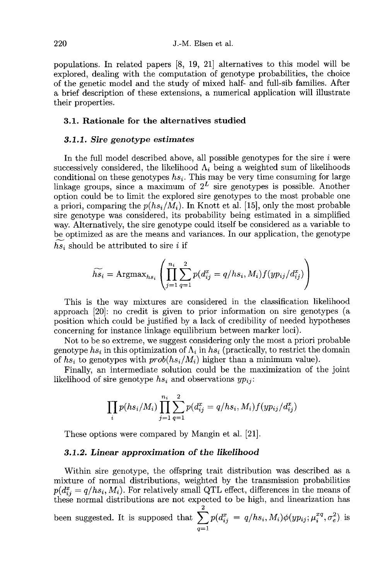populations. In related papers [8, 19, 21] alternatives to this model will be explored, dealing with the computation of genotype probabilities, the choice of the genetic model and the study of mixed half- and full-sib families. After a brief description of these extensions, a numerical application will illustrate their properties.

# 3.1. Rationale for the alternatives studied

#### 3.1.1. Sire genotype estimates

In the full model described above, all possible genotypes for the sire  $i$  were successively considered, the likelihood  $\Lambda_i$  being a weighted sum of likelihoods conditional on these genotypes  $hs_i$ . This may be very time consuming for large linkage groups, since a maximum of  $2^L$  sire genotypes is possible. Another option could be to limit the explored sire genotypes to the most probable one<br>a priori, comparing the  $p(h_{s}/M_i)$ . In Knott et al. [15], only the most probable In the full model described above, all possible genotypes for the sire *i* were<br>successively considered, the likelihood  $\Lambda_i$  being a weighted sum of likelihoods<br>conditional on these genotypes  $hs_i$ . This may be very time sire genotype was considered, its probability being estimated in a simplified way. Alternatively, the sire genotype could itself be considered as a variable to be optimized as are the means and variances. In our application, the genotype  $hs_i$  should be attributed to sire i if

$$
\widetilde{hs_i} = \text{Argmax}_{hs_i} \left( \prod_{j=1}^{n_i} \sum_{q=1}^2 p(d_{ij}^x = q/hs_i, M_i) f(yp_{ij}/d_{ij}^x) \right)
$$

This is the way mixtures are considered in the classification likelihood approach [20]: no credit is given to prior information on sire genotypes (a position which could be justified by a lack of credibility of needed hypotheses concerning for instance linkage equilibrium between marker loci).

Not to be so extreme, we suggest considering only the most a priori probable genotype  $hs_i$  in this optimization of  $\Lambda_i$  in  $hs_i$  (practically, to restrict the domain of  $hs_i$  to genotypes with  $prob(hs_i/M_i)$  higher than a minimum value).

Finally, an intermediate solution could be the maximization of the joint likelihood of sire genotype  $hs_i$  and observations  $yp_{ii}$ :

$$
\prod_{i} p(hs_i/M_i) \prod_{j=1}^{n_i} \sum_{q=1}^{2} p(d_{ij}^x = q/hs_i, M_i) f(yp_{ij}/d_{ij}^x)
$$

These options were compared by Mangin et al. [21].

#### 3.1.2. Linear approximation of the likelihood

Within sire genotype, the offspring trait distribution was described as a mixture of normal distributions, weighted by the transmission probabilities  $p(d_{ij}^x = q/hs_i, M_i)$ . For relatively small QTL effect, differences in the means of these normal distributions are not expected to be high, and linearization has been suggested. It is supposed that  $\sum_{q=1}^{2} p(d_{ij}^{x} = q/hs_i, M_i) \phi(yp_{ij}; \mu_i^{xq}, \sigma_e^2)$  is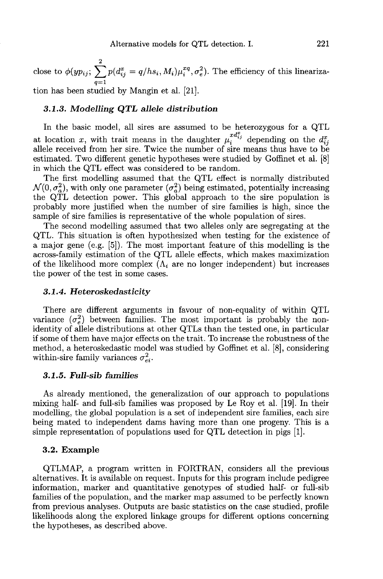2 Alternative models for QTL detection. 1. 221<br>
close to  $\phi(yp_{ij}; \sum_{q=1}^{2} p(d_{ij}^x = q/hs_i, M_i)\mu_i^{xq}, \sigma_e^2)$ . The efficiency of this linearization has been studied by Mangin et al. [21].

## 3.1.3. Modelling QTL allele distribution

In the basic model, all sires are assumed to be heterozygous for a QTL In the basic model, all sires are assumed to be heterozygous for a QTL at location x, with trait means in the daughter  $\mu_i^{xd_{ij}^x}$  depending on the  $d_{ij}^x$  allele received from her sire. Twice the number of sire means estimated. Two different genetic hypotheses were studied by Goffinet et al. [8] in which the QTL effect was considered to be random.

The first modelling assumed that the QTL effect is normally distributed The first modelling assumed that the QTL effect is normally distributed  $\mathcal{N}(0, \sigma_a^2)$ , with only one parameter  $(\sigma_a^2)$  being estimated, potentially increasing the QTL detection power. This global approach to the sire probably more justified when the number of sire families is high, since the sample of sire families is representative of the whole population of sires.

The second modelling assumed that two alleles only are segregating at the QTL. This situation is often hypothesized when testing for the existence of a major gene (e.g. [5]). The most important feature of this modelling is the across-family estimation of the QTL allele effects, which makes maximization of the likelihood more complex  $(\Lambda_i)$  are no longer independent) but increases the power of the test in some cases.

## 3.1.4. Heteroskedasticity

There are different arguments in favour of non-equality of within QTL variance  $(\sigma_e^2)$  between families. The most important is probably the nonidentity of allele distributions at other QTLs than the tested one, in particular if some of them have major effects on the trait. To increase the robustness of the method, a heteroskedastic model was studied by Goffinet et al.  $[8]$ , considering within-sire family variances  $\sigma_{ei}^2$ .

# 3.1.5. Full-sib families

As already mentioned, the generalization of our approach to populations mixing half- and full-sib families was proposed by Le Roy et al. [19]. In their modelling, the global population is a set of independent sire families, each sire being mated to independent dams having more than one progeny. This is a simple representation of populations used for QTL detection in pigs [1].

## 3.2. Example

QTLMAP, a program written in FORTRAN, considers all the previous alternatives. It is available on request. Inputs for this program include pedigree information, marker and quantitative genotypes of studied half- or full-sib families of the population, and the marker map assumed to be perfectly known from previous analyses. Outputs are basic statistics on the case studied, profile likelihoods along the explored linkage groups for different options concerning the hypotheses, as described above.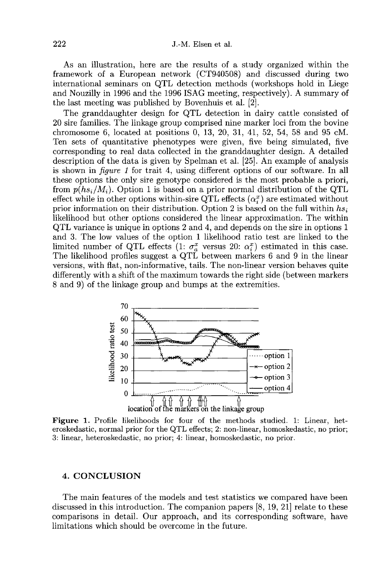As an illustration, here are the results of a study organized within the framework of a European network (CT940508) and discussed during two international seminars on QTL detection methods (workshops hold in Liege and Nouzilly in 1996 and the 1996 ISAG meeting, respectively). A summary of the last meeting was published by Bovenhuis et al. [2].

The granddaughter design for QTL detection in dairy cattle consisted of 20 sire families. The linkage group comprised nine marker loci from the bovine chromosome 6, located at positions 0, 13, 20, 31, 41, 52, 54, 58 and 95 cM. Ten sets of quantitative phenotypes were given, five being simulated, five corresponding to real data collected in the granddaughter design. A detailed description of the data is given by Spelman et al. [25]. An example of analysis is shown in figure 1 for trait 4, using different options of our software. In all these options the only sire genotype considered is the most probable a priori, from  $p(hs_i/M_i)$ . Option 1 is based on a prior normal distribution of the QTL effect while in other options within-sire QTL effects  $(\alpha_i^x)$  are estimated without prior information on their distribution. Option 2 is based on the full within  $hs_i$ likelihood but other options considered the linear approximation. The within QTL variance is unique in options 2 and 4, and depends on the sire in options 1 and 3. The low values of the option 1 likelihood ratio test are linked to the limited number of QTL effects  $(1; \sigma_a^x)$  versus 20:  $\alpha_i^x$  estimated in this case. The likelihood profiles suggest a QTL between markers 6 and 9 in the linear versions, with flat, non-informative, tails. The non-linear version behaves quite differently with a shift of the maximum towards the right side (between markers 8 and 9) of the linkage group and bumps at the extremities.



Figure 1. Profile likelihoods for four of the methods studied. 1: Linear, heteroskedastic, normal prior for the QTL effects; 2: non-linear, homoskedastic, no prior; 3: linear, heteroskedastic, no prior; 4: linear, homoskedastic, no prior.

# 4. CONCLUSION

The main features of the models and test statistics we compared have been discussed in this introduction. The companion papers  $[8, 19, 21]$  relate to these comparisons in detail. Our approach, and its corresponding software, have limitations which should be overcome in the future.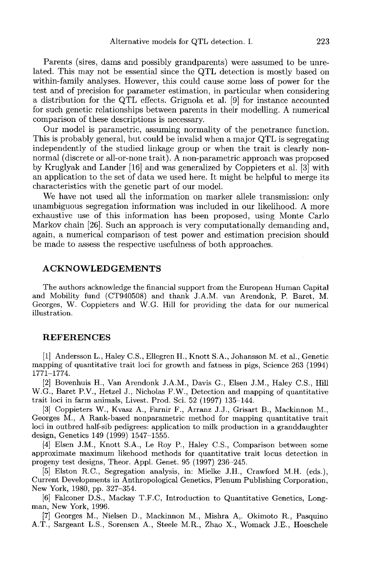Parents (sires, dams and possibly grandparents) were assumed to be unrelated. This may not be essential since the QTL detection is mostly based on within-family analyses. However, this could cause some loss of power for the test and of precision for parameter estimation, in particular when considering a distribution for the QTL effects. Grignola et al. [9] for instance accounted for such genetic relationships between parents in their modelling. A numerical comparison of these descriptions is necessary.

Our model is parametric, assuming normality of the penetrance function. This is probably general, but could be invalid when a major QTL is segregating independently of the studied linkage group or when the trait is clearly nonnormal (discrete or all-or-none trait). A non-parametric approach was proposed by Kruglyak and Lander [16] and was generalized by Coppieters et al. [3] with an application to the set of data we used here. It might be helpful to merge its characteristics with the genetic part of our model.

We have not used all the information on marker allele transmission: only unambiguous segregation information was included in our likelihood. A more exhaustive use of this information has been proposed, using Monte Carlo Markov chain [26]. Such an approach is very computationally demanding and, again, a numerical comparison of test power and estimation precision should be made to assess the respective usefulness of both approaches.

#### ACKNOWLEDGEMENTS

The authors acknowledge the financial support from the European Human Capital and Mobility fund (CT940508) and thank J.A.M. van Arendonk, P. Baret, M. Georges, W. Coppieters and W.G. Hill for providing the data for our numerical illustration.

#### REFERENCES

[1] Andersson L., Haley C.S., Ellegren H., Knott S.A., Johansson M. et al., Genetic mapping of quantitative trait loci for growth and fatness in pigs, Science 263 (1994) 1771-1774.

[2] Bovenhuis H., Van Arendonk J.A.M., Davis G., Elsen J.M., Haley C.S., Hill W.G., Baret P.V., Hetzel J., Nicholas F.W., Detection and mapping of quantitative trait loci in farm animals, Livest. Prod. Sci. 52 (1997) 135-144.

[3] Coppieters W., Kvasz A., Farnir F., Arranz J.J., Grisart B., Mackinnon M., Georges M., A Rank-based nonparametric method for mapping quantitative trait loci in outbred half-sib pedigrees: application to milk production in a granddaughter design, Genetics 149 (1999) 1547-1555.

[4] Elsen J.M., Knott S.A., Le Roy P., Haley C.S., Comparison between some approximate maximum likehood methods for quantitative trait locus detection in progeny test designs, Theor. Appl. Genet. 95 (1997) 236-245.

[5] Elston R.C., Segregation analysis, in: Mielke J.H., Crawford M.H. (eds.), Current Developments in Anthropological Genetics, Plenum Publishing Corporation, New York, 1980, pp. 327-354.

[6] Falconer D.S., Mackay T.F.C, Introduction to Quantitative Genetics, Long- man, New York, 1996.

[7] Georges M., Nielsen D., Mackinnon M., Mishra A,. Okimoto R., Pasquino A.T., Sargeant L.S., Sorensen A., Steele M.R., Zhao X., Womack J.E., Hoeschele